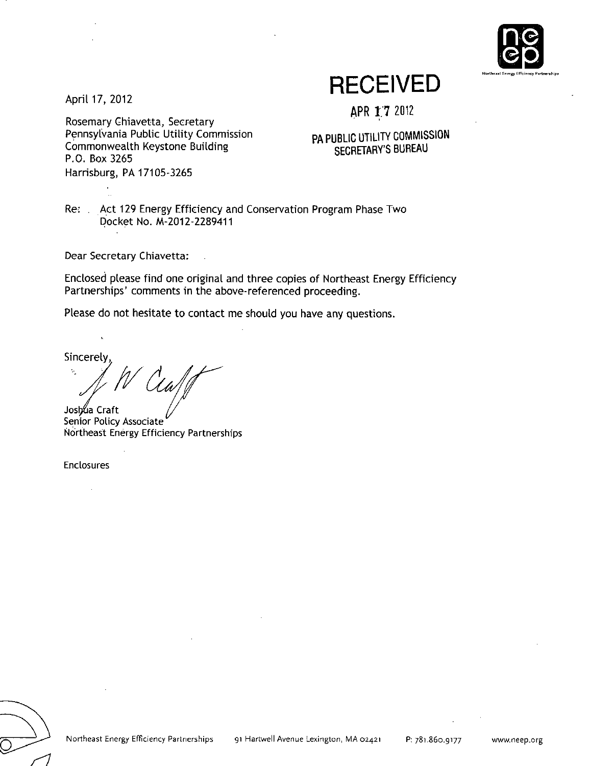

April 17, 2012

Rosemary Chiavetta, Secretary Pennsylvania Public Utility Commission Commonwealth Keystone Building P.O. Box 3265 Harrisburg, PA 17105-3265

**RECEIVED** 

APR £7 2012

**PA PUBLIC UTILITY COMMISSION SECRETARY'S BUREAU** 

Re: . Act 129 Energy Efficiency and Conservation Program Phase Two Docket No. M-2012-2289411

Dear Secretary Chiavetta:

Enclosed please find one original and three copies of Northeast Energy Efficiency Partnerships' comments in the above-referenced proceeding.

Please do not hesitate to contact me should you have any questions.

Sincerely,

Joshua Craft Senior Policy Associate Northeast Energy Efficiency Partnerships

Enclosures

يسسر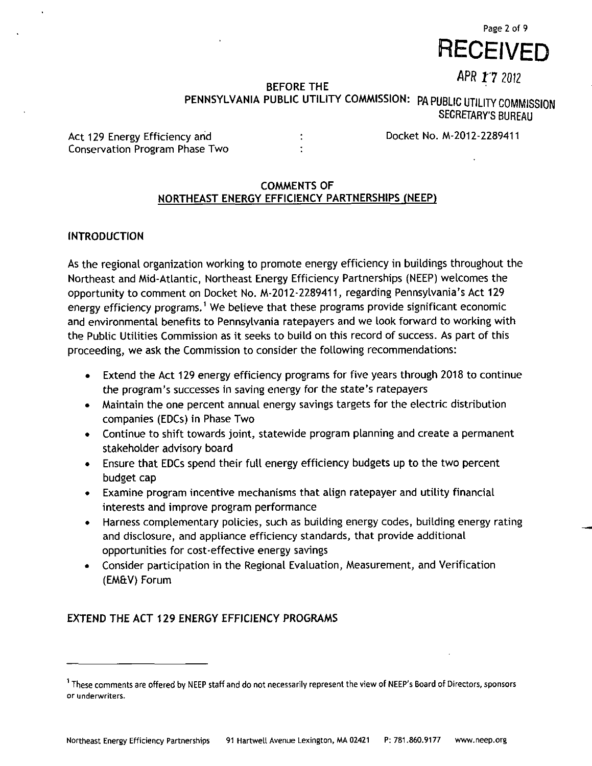

APR 17 2012

# **BEFORE THE PENNSYLVANIA PUBLIC UTILITY COMMISSION: PA PUBLIC UTILITY COMMISSION**  SECRETARY'S BUREAU

Act 129 Energy Efficiency and **:** The Docket No. M-2012-2289411 Conservation Program Phase Two :

# **COMMENTS OF NORTHEAST ENERGY EFFICIENCY PARTNERSHIPS (NEEP)**

# **INTRODUCTION**

As the regional organization working to promote energy efficiency in buildings throughout the Northeast and Mid-Atlantic, Northeast Energy Efficiency Partnerships (NEEP) welcomes the opportunity to comment on Docket No. M-2012-2289411, regarding Pennsylvania's Act 129 energy efficiency programs.<sup>1</sup> We believe that these programs provide significant economic and environmental benefits to Pennsylvania ratepayers and we look forward to working with the Public Utilities Commission as it seeks to build on this record of success. As part of this proceeding, we ask the Commission to consider the following recommendations:

- Extend the Act 129 energy efficiency programs for five years through 2018 to continue  $\bullet$ the program's successes in saving energy for the state's ratepayers
- Maintain the one percent annual energy savings targets for the electric distribution companies (EDCs) in Phase Two
- Continue to shift towards joint, statewide program planning and create a permanent stakeholder advisory board
- Ensure that EDCs spend their full energy efficiency budgets up to the two percent budget cap
- Examine program incentive mechanisms that align ratepayer and utility financial interests and improve program performance
- Harness complementary policies, such as building energy codes, building energy rating and disclosure, and appliance efficiency standards, that provide additional opportunities for cost-effective energy savings
- Consider participation in the Regional Evaluation, Measurement, and Verification (EM&V) Forum

# **EXTEND THE ACT 129 ENERGY EFFICIENCY PROGRAMS**

<sup>1</sup> These comments are offered by NEEP staff and do not necessarily represent the view of NEEP's Board of Directors, sponsors or underwriters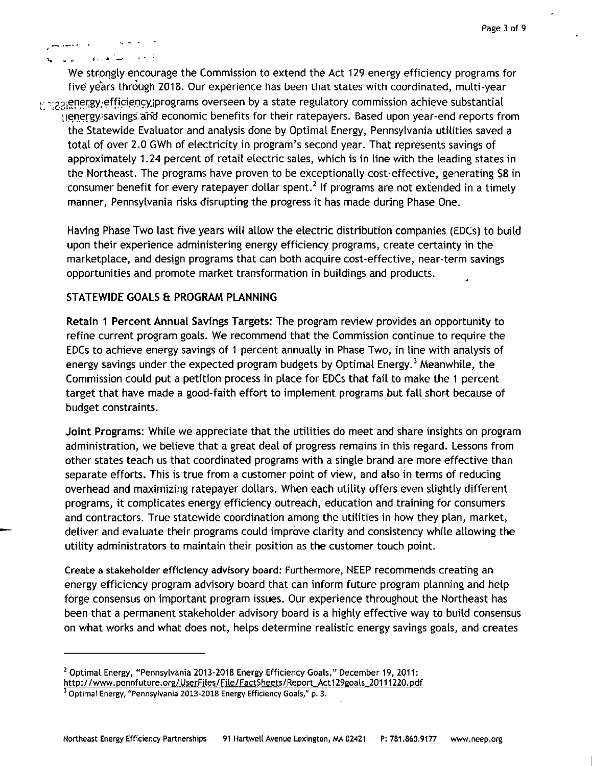#### سأنفرغ  $\mathbb{R}^2$  and

We strongly encourage the Commission to extend the Act 129 energy efficiency programs for five years through 2018. Our experience has been that states with coordinated, multi-year t \*: 22 genergy efficiency programs overseen by a state regulatory commission achieve substantial

lienergy-savings/anci economic benefits for their ratepayers. Based upon year-end reports from the Statewide Evaluator and analysis done by Optimal Energy, Pennsylvania utilities saved a total of over 2.0 GWh of electricity in program's second year. That represents savings of approximately 1.24 percent of retail electric sales, which is in line with the leading states in the Northeast. The programs have proven to be exceptionally cost-effective, generating \$8 in consumer benefit for every ratepayer dollar spent.<sup>2</sup> If programs are not extended in a timely manner, Pennsylvania risks disrupting the progress it has made during Phase One.

Having Phase Two last five years will allow the electric distribution companies (EDCs) to build upon their experience administering energy efficiency programs, create certainty in the marketplace, and design programs that can both acquire cost-effective, near-term savings opportunities and promote market transformation in buildings and products.

# **STATEWIDE GOALS & PROGRAM PLANNING**

Retain 1 Percent Annual Savings Targets: The program review provides an opportunity to refine current program goals. We recommend that the Commission continue to require the EDCs to achieve energy savings of 1 percent annually in Phase Two, in line with analysis of energy savings under the expected program budgets by Optimal Energy.<sup>3</sup> Meanwhile, the Commission could put a petition process in place for EDCs that fail to make the 1 percent target that have made a good-faith effort to implement programs but fall short because of budget constraints.

Joint Programs: While we appreciate that the utilities do meet and share insights on program administration, we believe that a great deal of progress remains in this regard. Lessons from other states teach us that coordinated programs with a single brand are more effective than separate efforts. This is true from a customer point of view, and also in terms of reducing overhead and maximizing ratepayer dollars. When each utility offers even slightly different programs, it complicates energy efficiency outreach, education and training for consumers and contractors. True statewide coordination among the utilities in how they plan, market, deliver and evaluate their programs could improve clarity and consistency while allowing the utility administrators to maintain their position as the customer touch point.

Create a stakeholder efficiency advisory board: Furthermore, NEEP recommends creating an energy efficiency program advisory board that can inform future program planning and help forge consensus on important program issues. Our experience throughout the Northeast has been that a permanent stakeholder advisory board is a highly effective way to build consensus on what works and what does not, helps determine realistic energy savings goals, and creates

<sup>2</sup> Optimal Energy, "Pennsylvania 2013-2018 Energy Efficiency Goals," December 19, 2011: http://www.pennfuture.orq/UserFiles/File/FactSheets/Report\_Act129goals\_20111220.pdf

<sup>3</sup> Optimal Energy, "Pennsylvania 2013-2018 Energy Efficiency Goals," p. 3.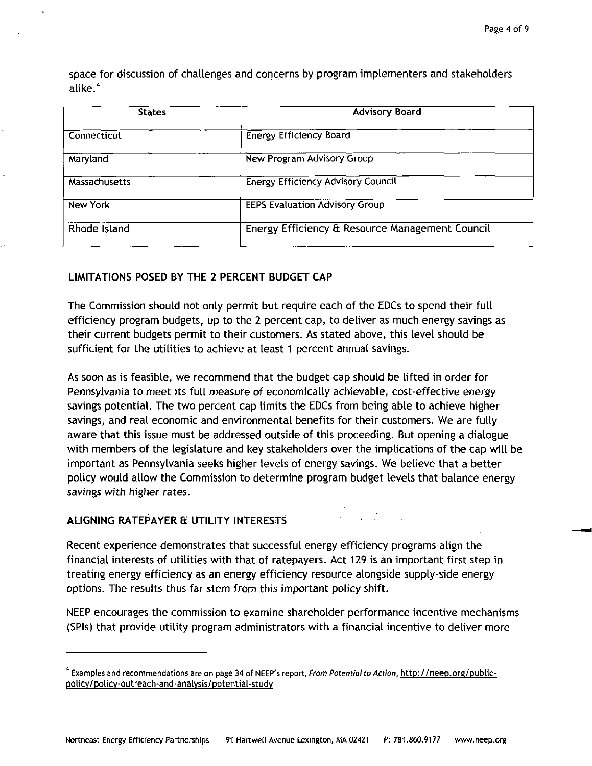space for discussion of challenges and concerns by program implementers and stakeholders alike. <sup>4</sup>

| <b>States</b>   | <b>Advisory Board</b>                           |  |  |  |  |  |
|-----------------|-------------------------------------------------|--|--|--|--|--|
| Connecticut     | <b>Energy Efficiency Board</b>                  |  |  |  |  |  |
| Maryland        | New Program Advisory Group                      |  |  |  |  |  |
| Massachusetts   | <b>Energy Efficiency Advisory Council</b>       |  |  |  |  |  |
| <b>New York</b> | <b>EEPS Evaluation Advisory Group</b>           |  |  |  |  |  |
| Rhode Island    | Energy Efficiency & Resource Management Council |  |  |  |  |  |

# **LIMITATIONS POSED BY THE 2 PERCENT BUDGET CAP**

The Commission should not only permit but require each of the EDCs to spend their full efficiency program budgets, up to the 2 percent cap, to deliver as much energy savings as their current budgets permit to their customers. As stated above, this level should be sufficient for the utilities to achieve at least 1 percent annual savings.

As soon as is feasible, we recommend that the budget cap should be lifted in order for Pennsylvania to meet its full measure of economically achievable, cost-effective energy savings potential. The two percent cap limits the EDCs from being able to achieve higher savings, and real economic and environmental benefits for their customers. We are fully aware that this issue must be addressed outside of this proceeding. But opening a dialogue with members of the legislature and key stakeholders over the implications of the cap will be important as Pennsylvania seeks higher levels of energy savings. We believe that a better policy would allow the Commission to determine program budget levels that balance energy savings with higher rates.

# **ALIGNING RATEPAYER fi UTILITY INTERESTS**

Recent experience demonstrates that successful energy efficiency programs align the financial interests of utilities with that of ratepayers. Act 129 is an important first step in treating energy efficiency as an energy efficiency resource alongside supply-side energy options. The results thus far stem from this important policy shift.

NEEP encourages the commission to examine shareholder performance incentive mechanisms (SPIs) that provide utility program administrators with a financial incentive to deliver more

<sup>&</sup>lt;sup>-</sup> Examples and recommendations are on page 34 of NEEP's report, From Potential to Action, <u>http: //neep.org/public</u>policy/policv-outreach-and-analvsis/potential-studv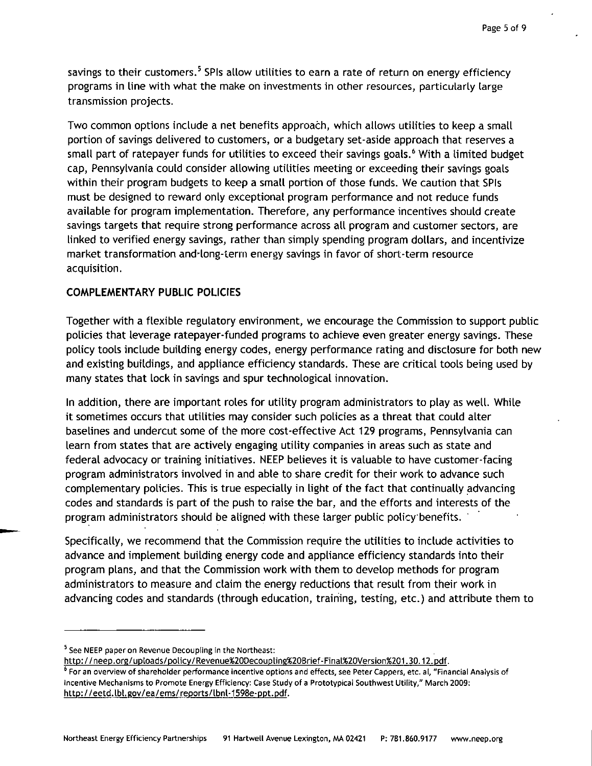savings to their customers.<sup>5</sup> SPIs allow utilities to earn a rate of return on energy efficiency programs in line with what the make on investments in other resources, particularly large transmission projects.

Two common options include a net benefits approach, which allows utilities to keep a small portion of savings delivered to customers, or a budgetary set-aside approach that reserves a small part of ratepayer funds for utilities to exceed their savings goals.<sup>6</sup> With a limited budget cap, Pennsylvania could consider allowing utilities meeting or exceeding their savings goals within their program budgets to keep a small portion of those funds. We caution that SPIs must be designed to reward only exceptional program performance and not reduce funds available for program implementation. Therefore, any performance incentives should create savings targets that require strong performance across all program and customer sectors, are linked to verified energy savings, rather than simply spending program dollars, and incentivize market transformation and-long-terrn energy savings in favor of short-term resource acquisition.

## **COMPLEMENTARY PUBLIC POLICIES**

Together with a flexible regulatory environment, we encourage the Commission to support public policies that leverage ratepayer-funded programs to achieve even greater energy savings. These policy tools include building energy codes, energy performance rating and disclosure for both new and existing buildings, and appliance efficiency standards. These are critical tools being used by many states that lock in savings and spur technological innovation.

In addition, there are important roles for utility program administrators to play as well. While it sometimes occurs that utilities may consider such policies as a threat that could alter baselines and undercut some of the more cost-effective Act 129 programs, Pennsylvania can learn from states that are actively engaging utility companies in areas such as state and federal advocacy or training initiatives. NEEP believes it is valuable to have customer-facing program administrators involved in and able to share credit for their work to advance such complementary policies. This is true especially in light of the fact that continually advancing codes and standards is part of the push to raise the bar, and the efforts and interests of the program administrators should be aligned with these larger public policy benefits.

Specifically, we recommend that the Commission require the utilities to include activities to advance and implement building energy code and appliance efficiency standards into their program plans, and that the Commission work with them to develop methods for program administrators to measure and claim the energy reductions that result from their work in advancing codes and standards (through education, training, testing, etc.) and attribute them to

<sup>5</sup> See NEEP paper on Revenue Decoupling in the Northeast:

http://neep.org/up[oads/policv/Revenue%20Decoupling%2QBrief-FinaL%20Version%201.30.12.pdf.

<sup>6</sup> For an overview of shareholder performance incentive options and effects, see Peter Cappers, etc. al, "Financial Analysis of Incentive Mechanisms to Promote Energy Efficiency: Case Study of a Prototypical Southwest Utility," March 2009: http: / /eetd. Ibt. gov/ea/ems/reports/lbnl-1598e-ppt. pdf.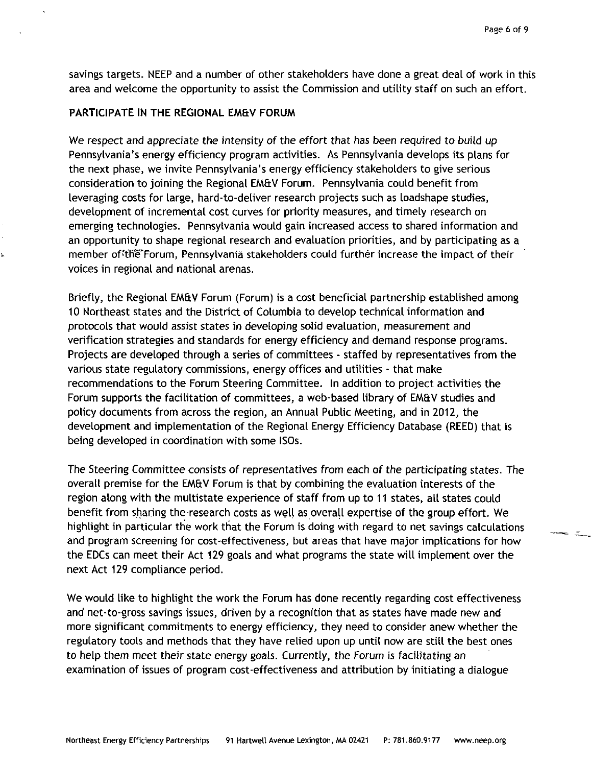ے ہ

savings targets. NEEP and a number of other stakeholders have done a great deal of work in this area and welcome the opportunity to assist the Commission and utility staff on such an effort.

### **PARTICIPATE IN THE REGIONAL EM&V FORUM**

We respect and appreciate the intensity of the effort that has been required to build up Pennsylvania's energy efficiency program activities. As Pennsylvania develops its plans for the next phase, we invite Pennsylvania's energy efficiency stakeholders to give serious consideration to joining the Regional EM&V Forum. Pennsylvania could benefit from leveraging costs for large, hard-to-deliver research projects such as loadshape studies, development of incremental cost curves for priority measures, and timely research on emerging technologies. Pennsylvania would gain increased access to shared information and an opportunity to shape regional research and evaluation priorities, and by participating as a member of 'the' Forum, Pennsylvania stakeholders could further increase the impact of their voices in regional and national arenas.

Briefly, the Regional EM&V Forum (Forum) is a cost beneficial partnership established among 10 Northeast states and the District of Columbia to develop technical information and protocols that would assist states in developing solid evaluation, measurement and verification strategies and standards for energy efficiency and demand response programs. Projects are developed through a series of committees - staffed by representatives from the various state regulatory commissions, energy offices and utilities - that make recommendations to the Forum Steering Committee. In addition to project activities the Forum supports the facilitation of committees, a web-based library of EM&V studies and policy documents from across the region, an Annual Public Meeting, and in 2012, the development and implementation of the Regional Energy Efficiency Database (REED) that is being developed in coordination with some ISOs.

The Steering Committee consists of representatives from each of the participating states. The overall premise for the EM&V Forum is that by combining the evaluation interests of the region along with the multistate experience of staff from up to 11 states, all states could benefit from sharing the research costs as well as overall expertise of the group effort. We highlight in particular the work that the Forum is doing with regard to net savings calculations and program screening for cost-effectiveness, but areas that have major implications for how the EDCs can meet their Act 129 goals and what programs the state will implement over the next Act 129 compliance period.

We would like to highlight the work the Forum has done recently regarding cost effectiveness and net-to-gross savings issues, driven by a recognition that as states have made new and more significant commitments to energy efficiency, they need to consider anew whether the regulatory tools and methods that they have relied upon up until now are still the best ones to help them meet their state energy goals. Currently, the Forum is facilitating an examination of issues of program cost-effectiveness and attribution by initiating a dialogue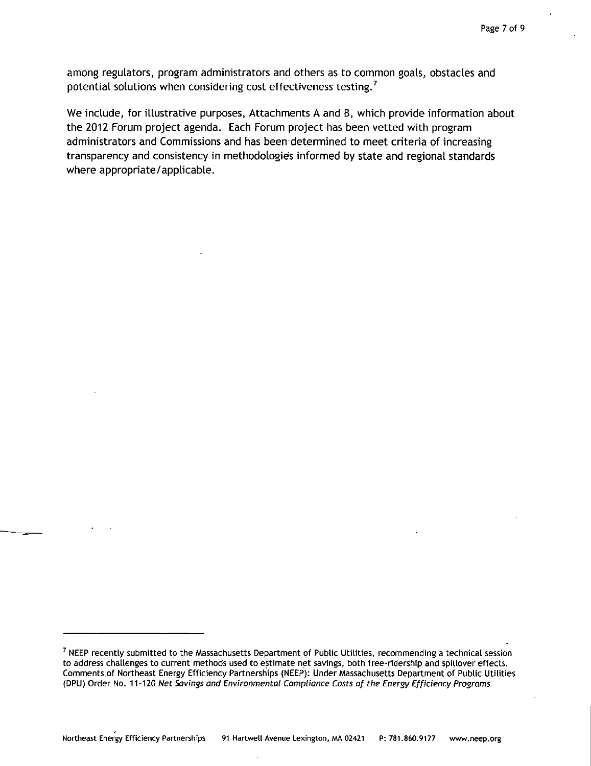among regulators, program administrators and others as to common goals, obstacles and potential solutions when considering cost effectiveness testing.<sup>7</sup>

We include, for illustrative purposes, Attachments A and B, which provide information about the 2012 Forum project agenda. Each Forum project has been vetted with program administrators and Commissions and has been determined to meet criteria of increasing transparency and consistency in methodologies informed by state and regional standards where appropriate/applicable.

<sup>7</sup> NEEP recently submitted to the Massachusetts Department of Public Utilities, recommending a technical session to address challenges to current methods used to estimate net savings, both free-ridership and spillover effects. Comments.of Northeast Energy Efficiency Partnerships (NEEP): Under Massachusetts Department of Public Utilities (DPU) Order No. 11 -120 Net Savings and Environmentat Compliance Costs of the Energy Efficiency Programs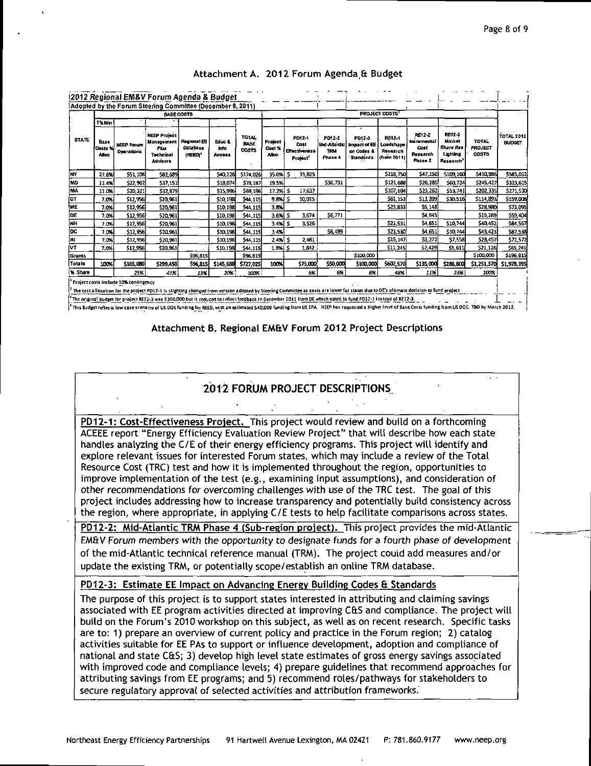|              | Adopted by the Forum Steering Committee (December 8, 2011)<br><b>BASE COSTS</b> |                                        |                                                                                  |                                                  |                                  |                                      | <b>PROJECT COSTS</b>              |                                                                |                                           |                                                               |                                                |                                                             |                                                                             |                                                |                                    |
|--------------|---------------------------------------------------------------------------------|----------------------------------------|----------------------------------------------------------------------------------|--------------------------------------------------|----------------------------------|--------------------------------------|-----------------------------------|----------------------------------------------------------------|-------------------------------------------|---------------------------------------------------------------|------------------------------------------------|-------------------------------------------------------------|-----------------------------------------------------------------------------|------------------------------------------------|------------------------------------|
| <b>STATE</b> | 7% Min<br>Base<br>Costs V<br><b>Alloc</b>                                       | <b>NEEP Forum</b><br><b>Operations</b> | <b>NEEP Project</b><br>Management<br><b>Phis</b><br>Technical<br><b>Advisors</b> | Regional EE<br><b>Database</b><br><b>IREEDS*</b> | Educ &<br><b>brito</b><br>Access | <b>TOTAL</b><br><b>BASE</b><br>costs | Project<br>Cost %<br><b>Alloc</b> | PD12-1<br>Cost<br><b>El'ectiveness</b><br>Project <sup>2</sup> | PD12-2<br>Mid-Atlantic<br>TRAI<br>Phase 4 | τ<br>PD12-3<br><b>Impact of EE</b><br>on Codes &<br>Standards | RE12-1<br>Loadshape<br>Research<br>(from 2011) | RE12-2<br><b>Incremental</b><br>Cost<br>Rosearch<br>Phase 2 | <b>RE12-3</b><br><b>Market</b><br><b>Share Res</b><br>Lionting<br>Research' | <b>TOTAL</b><br><b>PROJECT</b><br><b>COSTS</b> | <b>TOTAL 2012</b><br><b>BUDGET</b> |
| NY           | 27.6%                                                                           | \$51,108                               | \$82,689                                                                         |                                                  | \$40,228                         | \$174,026                            | 35.0%                             | 35,825                                                         |                                           |                                                               | \$218,750                                      | \$47,250                                                    | \$109,160                                                                   | \$410,985                                      | \$585,012                          |
| <b>ND</b>    | 12.4%                                                                           | \$22,962                               | \$37 151                                                                         |                                                  | \$18,074                         | \$78,187                             | 19.5%                             |                                                                | \$36,731                                  |                                                               | \$121,688                                      | \$26,285                                                    | \$50,724                                                                    | \$245,427                                      | \$323,615                          |
| <b>MA</b>    | 11.0%                                                                           | \$20,321                               | \$32,879                                                                         |                                                  | \$15,996                         | \$69,196                             | 17.2%                             | 17,637                                                         |                                           |                                                               | \$107,694                                      | \$23,252                                                    | \$53,741                                                                    | \$202,335                                      | \$271,530                          |
| (ст          | 7.0%                                                                            | \$12,956                               | \$20,961                                                                         |                                                  | \$10,198                         | \$44,115                             | 9.8%                              | 10,015                                                         |                                           |                                                               | 561, 153                                       | \$13,209                                                    | \$30,516                                                                    | \$114,893                                      | \$159,008                          |
| <b>ME</b>    | 7.0%                                                                            | \$12,956                               | \$20.961                                                                         |                                                  | \$10,198                         | \$44,115                             | 3.8%                              |                                                                |                                           |                                                               | \$23,833                                       | \$5,148                                                     |                                                                             | \$28,980                                       | \$73,095                           |
| <b>OE</b>    | 7.0%                                                                            | \$12,956                               | \$20.961                                                                         |                                                  | \$10,198                         | \$44,115                             | 3.6% S                            | 3,674                                                          | \$6,771                                   |                                                               |                                                | \$4,845                                                     |                                                                             | \$15,289                                       | \$59,404                           |
| lмн          | 7.0%                                                                            | \$12,956                               | 520.961                                                                          |                                                  | \$10,198                         | 544.115                              | 3,4%                              | 3,526                                                          |                                           |                                                               | 521,531                                        | 54,651                                                      | \$10,744                                                                    | \$40,452                                       | \$84,557                           |
| loc          | 7.0%                                                                            | \$12,956                               | \$20.961                                                                         |                                                  | \$10,198                         | \$44,115                             | 3.4%                              |                                                                | \$6,499                                   |                                                               | 521,530                                        | 54,651                                                      | \$10,744                                                                    | \$43,423                                       | \$37,538                           |
| RI           | 7.0%                                                                            | \$12,956                               | \$20,961                                                                         |                                                  | \$10,198                         | \$4,115                              | $2.4%$ 5                          | 2481                                                           |                                           |                                                               | \$15,147                                       | 53,272                                                      | 57,558                                                                      | \$28,457                                       | \$72,572                           |
| ÍVТ          | 7.0%                                                                            | \$12,956                               | \$20,961                                                                         |                                                  | \$10,198                         | \$44,115                             | 1.8%                              | 1,842                                                          |                                           |                                                               | 511, 245                                       | 52,429                                                      | \$5,611                                                                     | 521,125                                        | \$65,241                           |
| Grants       |                                                                                 |                                        |                                                                                  | \$36,815                                         |                                  | \$56,815                             |                                   |                                                                |                                           | \$100,000                                                     |                                                |                                                             |                                                                             | \$100,000                                      | \$196,815                          |
| Totals       | 100%                                                                            | \$185,080                              | \$299,450                                                                        | \$96,815                                         | \$145,680                        | \$727,025                            | 100%                              | \$75,000                                                       | \$50,000                                  | \$100,000                                                     | \$602,570                                      | \$135,000                                                   | \$288,800                                                                   | \$1,251,370                                    | \$1,978,395                        |
| % Share      |                                                                                 | 25%                                    | 41%                                                                              | 13%                                              | 20%                              | 100%                                 |                                   | 5%                                                             | 6%                                        | 8%                                                            | 48%                                            | 11%                                                         | 23%                                                                         | 100%                                           |                                    |

### Attachment A. 2012 Forum Agenda & Budget

The cost allocation for the project PD12-1 is slighting changed from version adopted by Steering Committee as costs are lower for states due to DE's ultimate decision to fund project The original budget for project RE12-3 was \$300,000 but is reduced to reflect feedback in December 2011 from DE which opted to fund PD12-1 instead of RE12-3.

This budget reflects low case scenario of US DOE funding for REED, with an estimated \$40,000 funding from US EPA. NEEP has requested a higher level of Base Costs funding from US DOE. TBD by March 2012.

## Attachment B. Regional EM&V Forum 2012 Project Descriptions

# **2012 FORUM PROJECT DESCRIPTIONS**

PD12-1: Cost-Effectiveness Project. This project would review and build on a forthcoming ACEEE report "Energy Efficiency Evaluation Review Project" that will describe how each state handles analyzing the C/E of their energy efficiency programs. This project will identify and explore relevant issues for interested Forum states, which may include a review of the Total Resource Cost (TRC) test and how it is implemented throughout the region, opportunities to improve implementation of the test (e.g., examining input assumptions), and consideration of other recommendations for overcoming challenges with use of the TRC test. The goal of this project includes addressing how to increase transparency and potentially build consistency across the region, where appropriate, in applying C/E tests to help facilitate comparisons across states.

PD12-2: Mid-Atlantic TRM Phase 4 (Sub-region project). This project provides the mid-Atlantic EM&V Forum members with the opportunity to designate funds for a fourth phase of development of the mid-Atlantic technical reference manual (TRM). The project could add measures and/or update the existing TRM, or potentially scope/establish an online TRM database.

## PD12-3: Estimate EE Impact on Advancing Energy Building Codes & Standards

The purpose of this project is to support states interested in attributing and claiming savings associated with EE program activities directed at improving C&S and compliance. The project will build on the Forum's 2010 workshop on this subject, as well as on recent research. Specific tasks are to: 1) prepare an overview of current policy and practice in the Forum region; 2) catalog activities suitable for EE PAs to support or influence development, adoption and compliance of national and state C&S; 3) develop high level state estimates of gross energy savings associated with improved code and compliance levels; 4) prepare guidelines that recommend approaches for attributing savings from EE programs; and 5) recommend roles/pathways for stakeholders to secure regulatory approval of selected activities and attribution frameworks.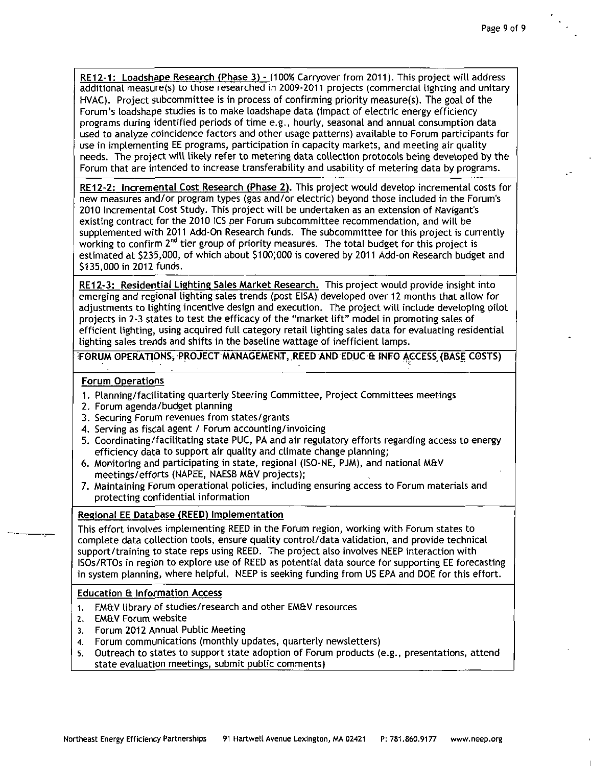RE12-1: Loadshape Research (Phase 3) - (100% Carryover from 2011). This project will address additional measure(s) to those researched in 2009-2011 projects (commercial lighting and unitary HVAC). Project subcommittee is in process of confirming priority measure(s). The goal of the Forum's loadshape studies is to make loadshape data (impact of electric energy efficiency programs during identified periods of time e.g., hourly, seasonal and annual consumption data used to analyze coincidence factors and other usage patterns) available to Forum participants for use in implementing EE programs, participation in capacity markets, and meeting air quality needs. The project will likely refer to metering data collection protocols being developed by the Forum that are intended to increase transferability and usability of metering data by programs.

RE12-2: Incremental Cost Research (Phase 2). This project would develop incremental costs for new measures and/or program types (gas and/or electric) beyond those included in the Forum's 2010 Incremental Cost Study. This project will be undertaken as an extension of Navigant's existing contract for the 2010 ICS per Forum subcommittee recommendation, and will be supplemented with 2011 Add-On Research funds. The subcommittee for this project is currently working to confirm 2<sup>na</sup> tier group of priority measures. The total budget for this project is estimated at \$235,000, of which about \$100;000 is covered by 2011 Add-on Research budget and \$135,000 in 2012 funds.

RE12-3: Residential Lighting Sales Market Research. This project would provide insight into emerging and regional lighting sales trends (post EISA) developed over 12 months that allow for adjustments to lighting incentive design and execution. The project will include developing pilot projects in 2-3 states to test the efficacy of the "market lift" model in promoting sales of efficient lighting, using acquired full category retail lighting sales data for evaluating residential lighting sales trends and shifts in the baseline wattage of inefficient lamps.

**iFORUM OPERATIONS^ PROJECT MANAGEMENT, REED AND EDUC 6 INFO ACCESS (BASE COSTS)** 

### **Forum Operations**

- 1. Planning/facilitating quarterly Steering Committee, Project Committees meetings
- 2. Forum agenda/budget planning
- 3. Securing Forum revenues from states/grants
- 4. Serving as fiscal agent / Forum accounting/invoicing
- 5. Coordinating/facilitating state PUC, PA and air regulatory efforts regarding access to energy efficiency data to support air quality and climate change planning;
- 6. Monitoring and participating in state, regional (ISO-NE, PJM), and national MEtV meetings/efforts (NAPEE, NAESB M&V projects);
- 7. Maintaining Forum operational policies, including ensuring access to Forum materials and protecting confidential information

## **Regional EE Database (REED) Implementation**

This effort involves implementing REED in the Forum region, working with Forum states to complete data collection tools, ensure quality control/data validation, and provide technical support/training to state reps using REED. The project also involves NEEP interaction with ISOs/RTOs in region to explore use of REED as potential data source for supporting EE forecasting in system planning, where helpful. NEEP is seeking funding from US EPA and DOE for this effort.

#### **Education 6 Information Access**

- 1. EM&V library of studies/research and other EM&V resources
- 2. EM&V Forum website
- 3. Forum 2012 Annual Public Meeting
- 4. Forum communications (monthly updates, quarterly newsletters)
- 5. Outreach to states to support state adoption of Forum products (e.g., presentations, attend state evaluation meetings, submit public comments)